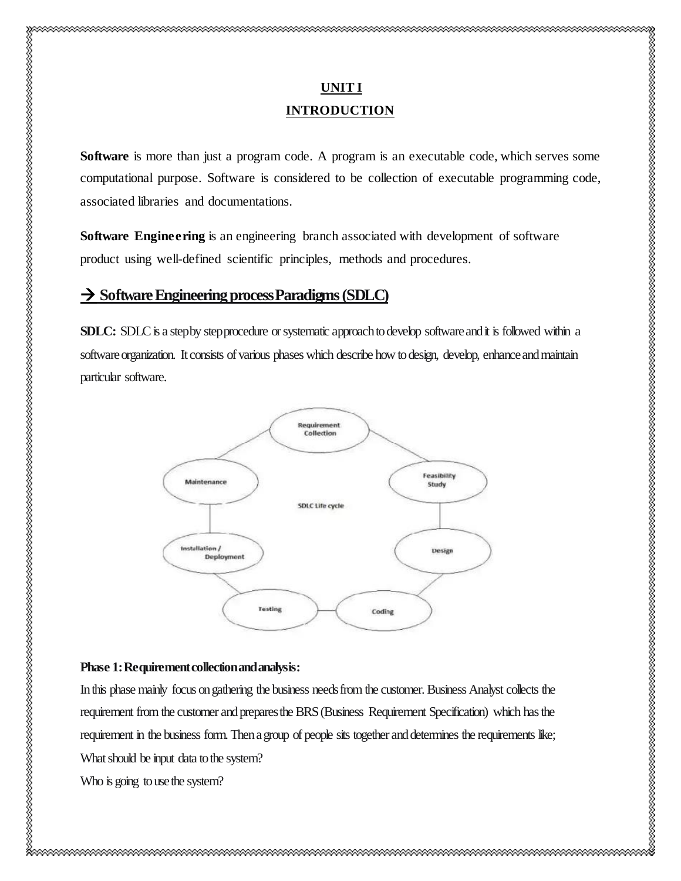# **UNIT I INTRODUCTION**

Software is more than just a program code. A program is an executable code, which serves some computational purpose. Software is considered to be collection of executable programming code, associated libraries and documentations.

**Software Engineering** is an engineering branch associated with development of software product using well-defined scientific principles, methods and procedures.

# **Software Engineering process Paradigms(SDLC)**

**SDLC:** SDLC is a step by step procedure or systematic approach to develop software and it is followed within a software organization. It consists of various phases which describe how to design, develop, enhance and maintain particular software.



#### **Phase 1: Requirement collection and analysis:**

In this phase mainly focus on gathering the business needs from the customer. Business Analyst collects the requirement from the customer and prepares the BRS (Business Requirement Specification) which has the requirement in the business form. Then a group of people sits together and determines the requirements like; What should be input data to the system?

Who is going to use the system?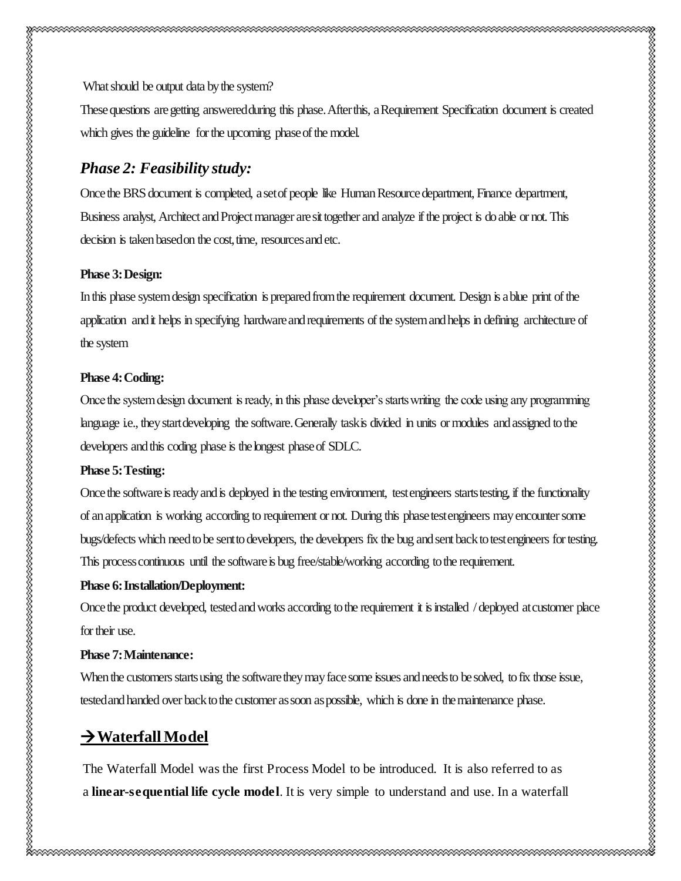What should be output data by the system?

These questions are getting answered during this phase. After this, a Requirement Specification document is created which gives the guideline for the upcoming phase of the model.

# *Phase 2: Feasibility study:*

Once the BRS document is completed, a set of people like Human Resource department, Finance department, Business analyst, Architect and Project manager are sit together and analyze if the project is do able or not. This decision is taken based on the cost, time, resources and etc.

#### **Phase 3:Design:**

In this phase system design specification is prepared from the requirement document. Design is a blue print of the application and it helps in specifying hardware and requirements of the system and helps in defining architecture of the system

#### **Phase 4:Coding:**

Once the system design document is ready, in this phase developer's starts writing the code using any programming language i.e., they start developing the software. Generally task is divided in units or modules and assigned to the developers and this coding phase is the longest phase of SDLC.

#### **Phase 5:Testing:**

Once the software is ready and is deployed in the testing environment, test engineers starts testing, if the functionality of an application is working according to requirement or not. During this phase test engineers may encounter some bugs/defects which need to be sent to developers, the developers fix the bug and sent back to test engineers for testing. This process continuous until the software is bug free/stable/working according to the requirement.

#### **Phase 6: Installation/Deployment:**

Once the product developed, tested and works according to the requirement it is installed / deployed at customer place for their use.

#### **Phase 7: Maintenance:**

When the customers starts using the software they may face some issues and needs to be solved, to fix those issue, tested and handed over back to the customer as soon as possible, which is done in the maintenance phase.

# **Waterfall Model**

The Waterfall Model was the first Process Model to be introduced. It is also referred to as a **linear-sequential life cycle model**. It is very simple to understand and use. In a waterfall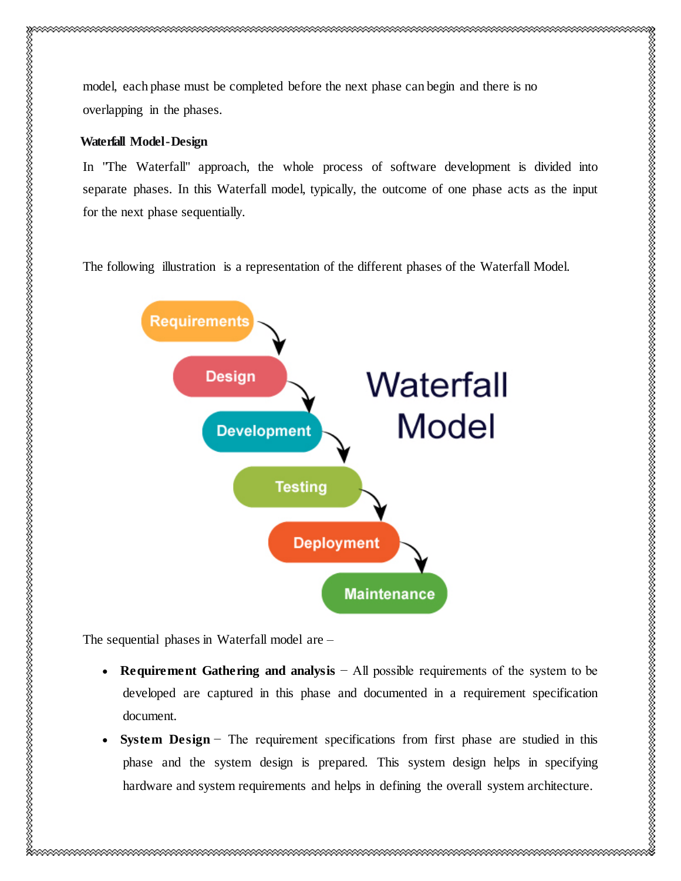#### **Waterfall Model -Design**

In "The Waterfall" approach, the whole process of software development is divided into separate phases. In this Waterfall model, typically, the outcome of one phase acts as the input for the next phase sequentially.

The following illustration is a representation of the different phases of the Waterfall Model.



The sequential phases in Waterfall model are –

- **Requirement Gathering and analysis** − All possible requirements of the system to be developed are captured in this phase and documented in a requirement specification document.
- **System Design** − The requirement specifications from first phase are studied in this phase and the system design is prepared. This system design helps in specifying hardware and system requirements and helps in defining the overall system architecture.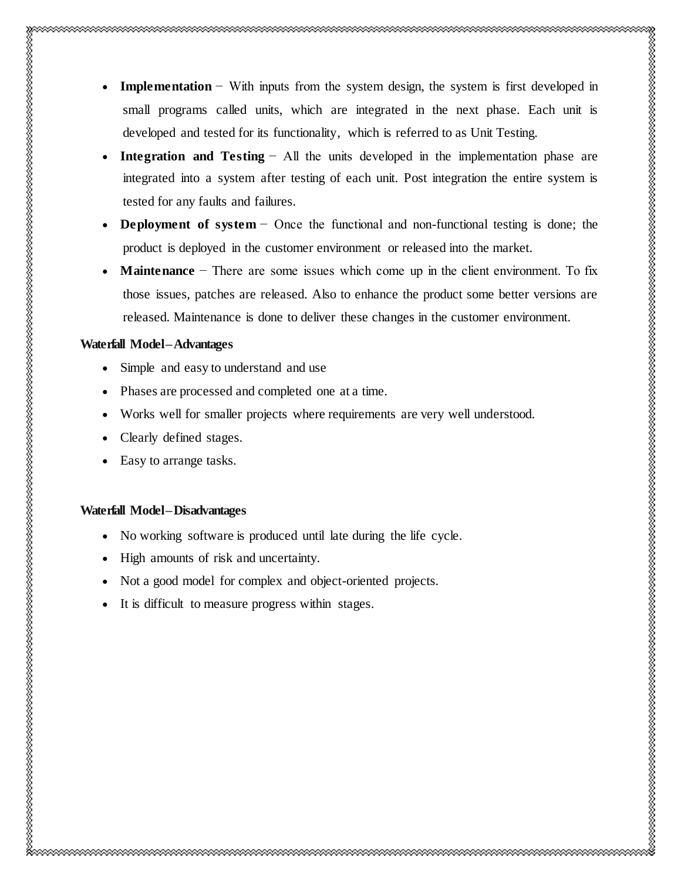- **Integration and Testing** − All the units developed in the implementation phase are integrated into a system after testing of each unit. Post integration the entire system is tested for any faults and failures.
- **Deployment of system** − Once the functional and non-functional testing is done; the product is deployed in the customer environment or released into the market.
- **Maintenance** − There are some issues which come up in the client environment. To fix those issues, patches are released. Also to enhance the product some better versions are released. Maintenance is done to deliver these changes in the customer environment.

## **Waterfall Model –Advantages**

- Simple and easy to understand and use
- Phases are processed and completed one at a time.
- Works well for smaller projects where requirements are very well understood.
- Clearly defined stages.
- Easy to arrange tasks.

# **Waterfall Model –Disadvantages**

- No working software is produced until late during the life cycle.
- High amounts of risk and uncertainty.
- Not a good model for complex and object-oriented projects.
- It is difficult to measure progress within stages.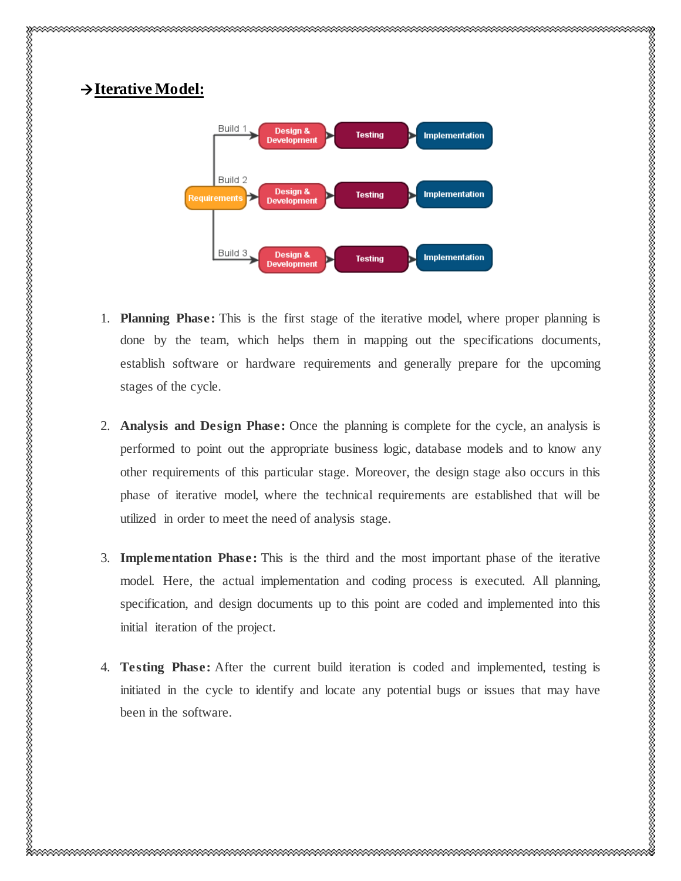

- 1. **Planning Phase:** This is the first stage of the iterative model, where proper planning is done by the team, which helps them in mapping out the specifications documents, establish software or hardware requirements and generally prepare for the upcoming stages of the cycle.
- 2. **Analysis and Design Phase:** Once the planning is complete for the cycle, an analysis is performed to point out the appropriate business logic, database models and to know any other requirements of this particular stage. Moreover, the design stage also occurs in this phase of iterative model, where the technical requirements are established that will be utilized in order to meet the need of analysis stage.
- 3. **Implementation Phase:** This is the third and the most important phase of the iterative model. Here, the actual implementation and coding process is executed. All planning, specification, and design documents up to this point are coded and implemented into this initial iteration of the project.
- 4. **Testing Phase:** After the current build iteration is coded and implemented, testing is initiated in the cycle to identify and locate any potential bugs or issues that may have been in the software.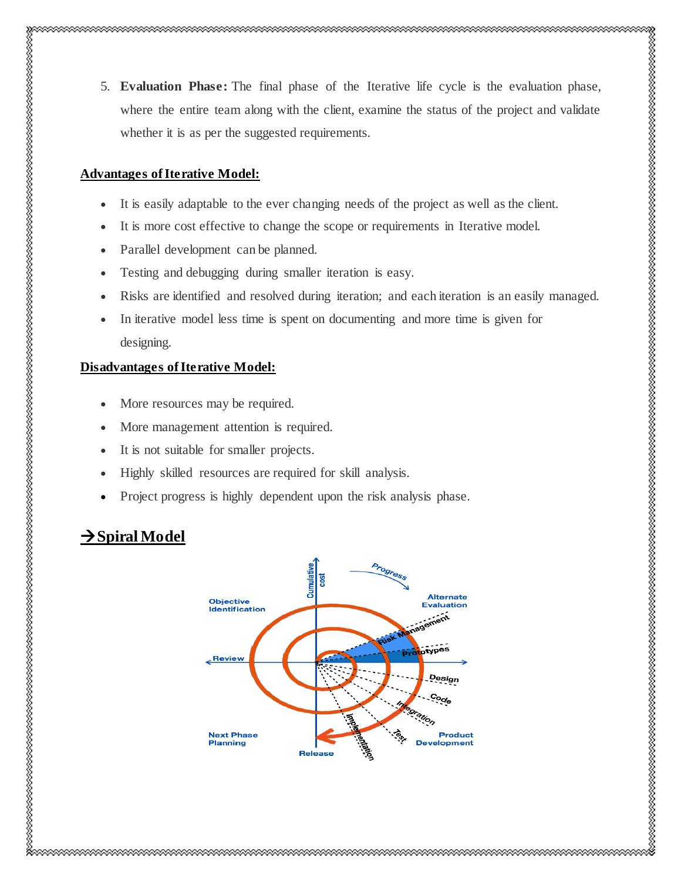5. **Evaluation Phase:** The final phase of the Iterative life cycle is the evaluation phase, where the entire team along with the client, examine the status of the project and validate whether it is as per the suggested requirements.

### **Advantages of Iterative Model:**

- It is easily adaptable to the ever changing needs of the project as well as the client.
- It is more cost effective to change the scope or requirements in Iterative model.
- Parallel development can be planned.
- Testing and debugging during smaller iteration is easy.
- Risks are identified and resolved during iteration; and each iteration is an easily managed.
- In iterative model less time is spent on documenting and more time is given for designing.

### **Disadvantages of Iterative Model:**

- More resources may be required.
- More management attention is required.
- It is not suitable for smaller projects.
- Highly skilled resources are required for skill analysis.
- Project progress is highly dependent upon the risk analysis phase.

# $→$ **Spiral Model**

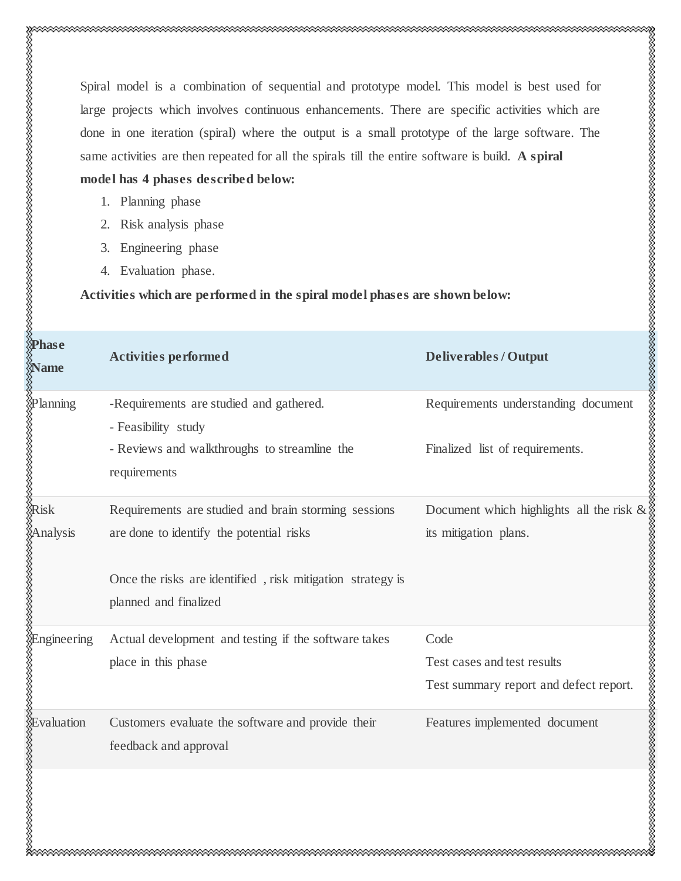Spiral model is a combination of sequential and prototype model. This model is best used for large projects which involves continuous enhancements. There are specific activities which are done in one iteration (spiral) where the output is a small prototype of the large software. The same activities are then repeated for all the spirals till the entire software is build. **A spiral** 

# **model has 4 phases described below:**

1. Planning phase

- 2. Risk analysis phase
- 3. Engineering phase
- 4. Evaluation phase.

#### **Activities which are performed in the spiral model phases are shown below:**

| <b>Phase</b><br><b>Name</b>                                                                                                                                                                                                        | <b>Activities performed</b>                                    | <b>Deliverables/Output</b>                    |
|------------------------------------------------------------------------------------------------------------------------------------------------------------------------------------------------------------------------------------|----------------------------------------------------------------|-----------------------------------------------|
|                                                                                                                                                                                                                                    | -Requirements are studied and gathered.<br>- Feasibility study | Requirements understanding document           |
| Mplanning<br>Marangan<br>Marak<br>Marak                                                                                                                                                                                            | - Reviews and walkthroughs to streamline the<br>requirements   | Finalized list of requirements.               |
|                                                                                                                                                                                                                                    | Requirements are studied and brain storming sessions           | Document which highlights all the risk $\&$ : |
| Analysis<br>analysis<br>and the second second second second second second second second second second second second second second second second second second second second second second second second second second second secon | are done to identify the potential risks                       | its mitigation plans.                         |
|                                                                                                                                                                                                                                    | Once the risks are identified, risk mitigation strategy is     |                                               |
|                                                                                                                                                                                                                                    | planned and finalized                                          |                                               |
|                                                                                                                                                                                                                                    | Actual development and testing if the software takes           | Code                                          |
|                                                                                                                                                                                                                                    | place in this phase                                            | Test cases and test results                   |
|                                                                                                                                                                                                                                    |                                                                | Test summary report and defect report.        |
|                                                                                                                                                                                                                                    | Customers evaluate the software and provide their              | Features implemented document                 |
|                                                                                                                                                                                                                                    | feedback and approval                                          |                                               |
| Rengineering<br>Revaluation<br>Revaluation<br>Revaluation                                                                                                                                                                          |                                                                |                                               |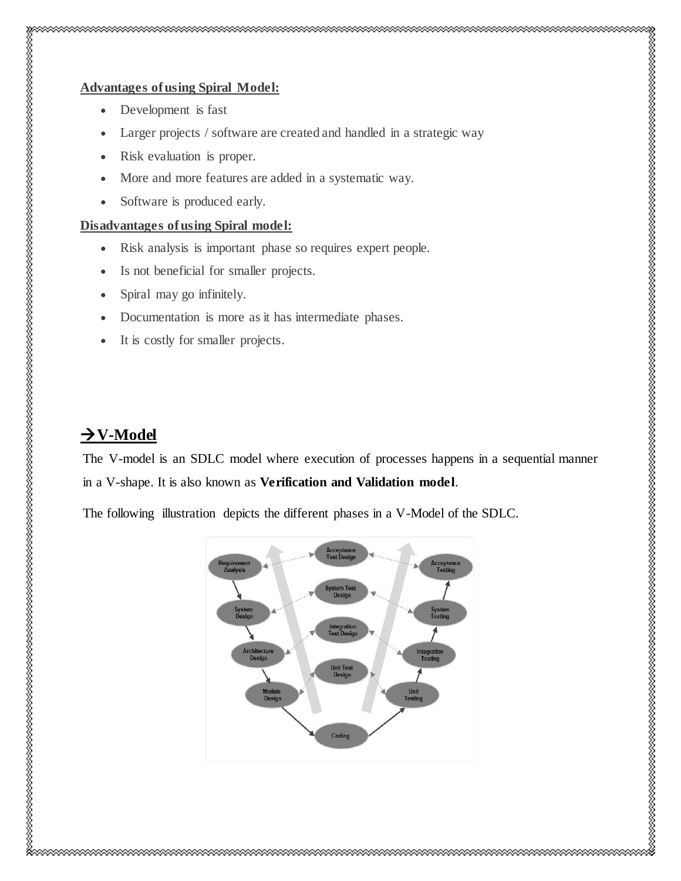## **Advantages ofusing Spiral Model:**

- Development is fast
- Larger projects / software are created and handled in a strategic way
- Risk evaluation is proper.
- More and more features are added in a systematic way.
- Software is produced early.

#### **Disadvantages ofusing Spiral model:**

- Risk analysis is important phase so requires expert people.
- Is not beneficial for smaller projects.
- Spiral may go infinitely.
- Documentation is more as it has intermediate phases.
- It is costly for smaller projects.

# $\rightarrow$  V-Model

The V-model is an SDLC model where execution of processes happens in a sequential manner in a V-shape. It is also known as **Verification and Validation model**.

The following illustration depicts the different phases in a V-Model of the SDLC.

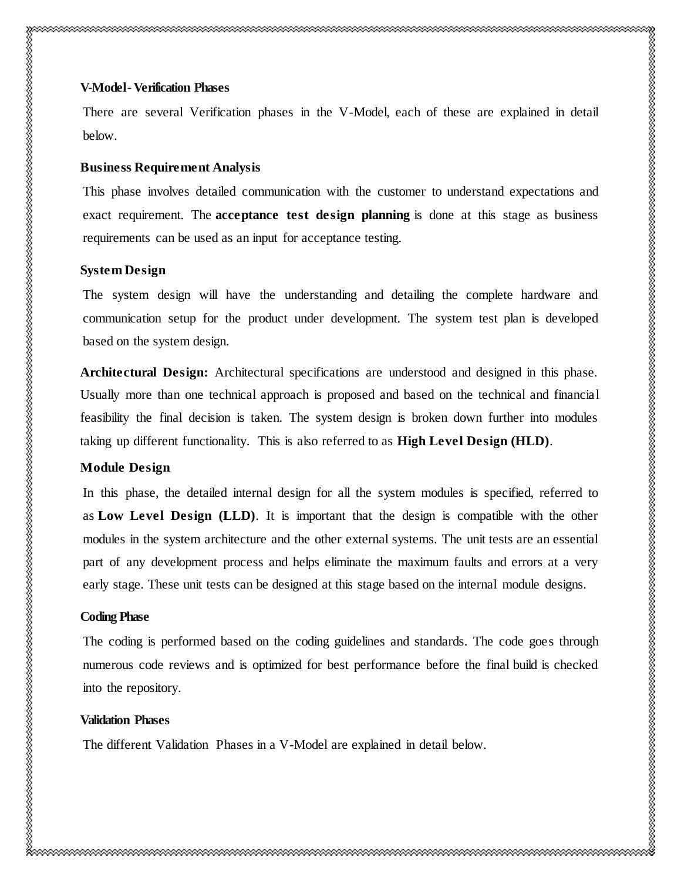There are several Verification phases in the V-Model, each of these are explained in detail below.

## **Business Requirement Analysis**

This phase involves detailed communication with the customer to understand expectations and exact requirement. The **acceptance test design planning** is done at this stage as business requirements can be used as an input for acceptance testing.

# **System Design**

The system design will have the understanding and detailing the complete hardware and communication setup for the product under development. The system test plan is developed based on the system design.

**Architectural Design:** Architectural specifications are understood and designed in this phase. Usually more than one technical approach is proposed and based on the technical and financial feasibility the final decision is taken. The system design is broken down further into modules taking up different functionality. This is also referred to as **High Level Design (HLD)**.

# **Module Design**

In this phase, the detailed internal design for all the system modules is specified, referred to as **Low Level Design (LLD)**. It is important that the design is compatible with the other modules in the system architecture and the other external systems. The unit tests are an essential part of any development process and helps eliminate the maximum faults and errors at a very early stage. These unit tests can be designed at this stage based on the internal module designs.

# **Coding Phase**

The coding is performed based on the coding guidelines and standards. The code goes through numerous code reviews and is optimized for best performance before the final build is checked into the repository.

# **Validation Phases**

The different Validation Phases in a V-Model are explained in detail below.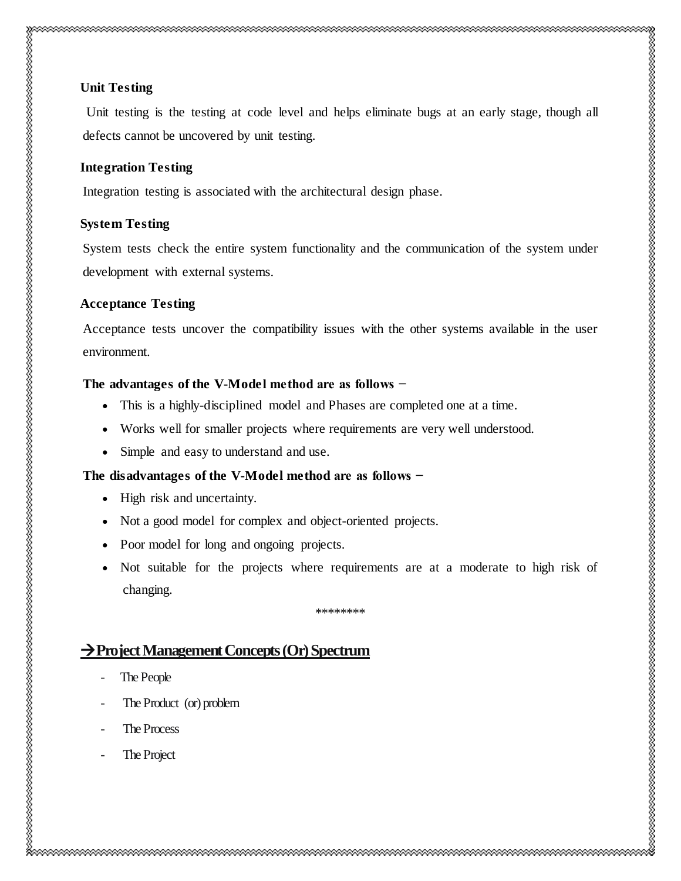## **Unit Testing**

Unit testing is the testing at code level and helps eliminate bugs at an early stage, though all defects cannot be uncovered by unit testing.

#### **Integration Testing**

Integration testing is associated with the architectural design phase.

#### **System Testing**

System tests check the entire system functionality and the communication of the system under development with external systems.

#### **Acceptance Testing**

Acceptance tests uncover the compatibility issues with the other systems available in the user environment.

#### **The advantages of the V-Model method are as follows −**

- This is a highly-disciplined model and Phases are completed one at a time.
- Works well for smaller projects where requirements are very well understood.
- Simple and easy to understand and use.

#### **The disadvantages of the V-Model method are as follows −**

- High risk and uncertainty.
- Not a good model for complex and object-oriented projects.
- Poor model for long and ongoing projects.
- Not suitable for the projects where requirements are at a moderate to high risk of changing.

\*\*\*\*\*\*\*\*

# **Project Management Concepts (Or) Spectrum**

- The People
- The Product (or) problem
- The Process
- The Project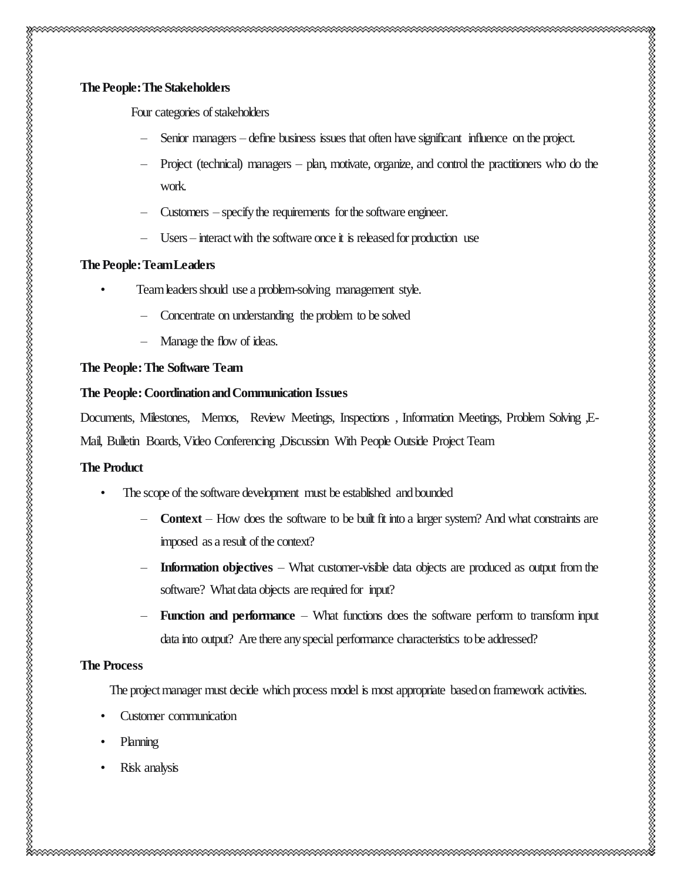Four categories of stakeholders

- Senior managers define business issues that often have significant influence on the project.
- Project (technical) managers plan, motivate, organize, and control the practitioners who do the work.
- Customers specify the requirements for the software engineer.
- Users interact with the software once it is released for production use

### **The People: Team Leaders**

- Team leaders should use a problem-solving management style.
	- Concentrate on understanding the problem to be solved
	- Manage the flow of ideas.

#### **The People: The Software Team**

#### **The People: Coordination and Communication Issues**

Documents, Milestones, Memos, Review Meetings, Inspections, Information Meetings, Problem Solving ,E-Mail, Bulletin Boards, Video Conferencing ,Discussion With People Outside Project Team

### **The Product**

- The scope of the software development must be established and bounded
	- **Context**  How does the software to be built fit into a larger system? And what constraints are imposed as a result of the context?
	- **Information objectives** What customer-visible data objects are produced as output from the software? What data objects are required for input?
	- **Function and performance** What functions does the software perform to transform input data into output? Are there any special performance characteristics to be addressed?

#### **The Process**

The project manager must decide which process model is most appropriate based on framework activities.

- Customer communication
- Planning
- Risk analysis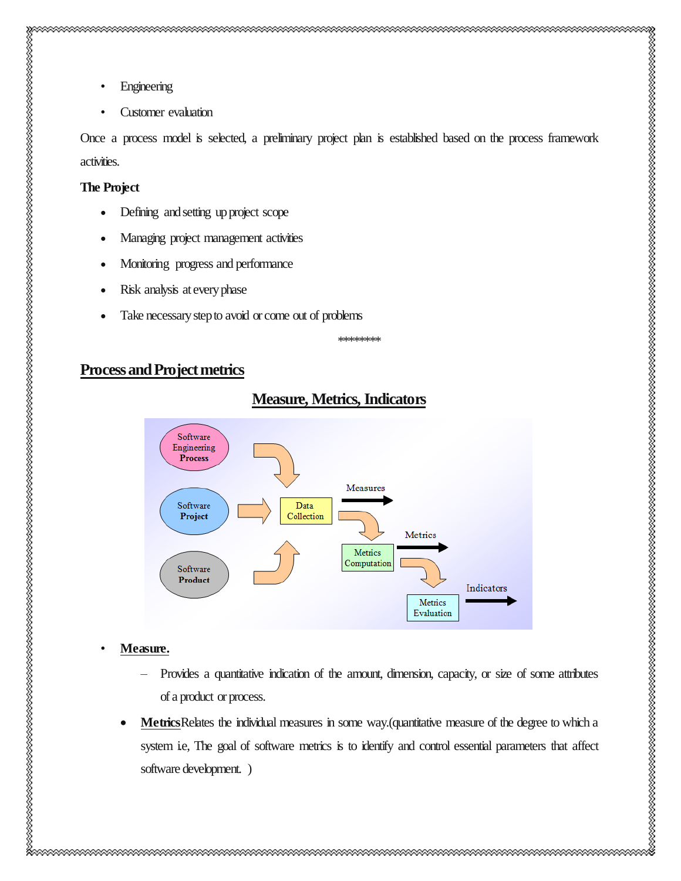- 
- Engineering
- Customer evaluation

Once a process model is selected, a preliminary project plan is established based on the process framework activities.

#### **The Project**

- Defining and setting up project scope
- Managing project management activities
- Monitoring progress and performance
- Risk analysis at every phase
- Take necessary step to avoid or come out of problems

\*\*\*\*\*\*\*\*

nan mengan mengan mengan mengan mengan mengan mengan mengan mengan mengan mengan mengan mengan mengan mengan m

# **Process and Project metrics**



# **Measure, Metrics, Indicators**

### • **Measure.**

- Provides a quantitative indication of the amount, dimension, capacity, or size of some attributes of a product or process.
- Metrics Relates the individual measures in some way.(quantitative measure of the degree to which a system i.e, The goal of software metrics is to identify and control essential parameters that affect software development. )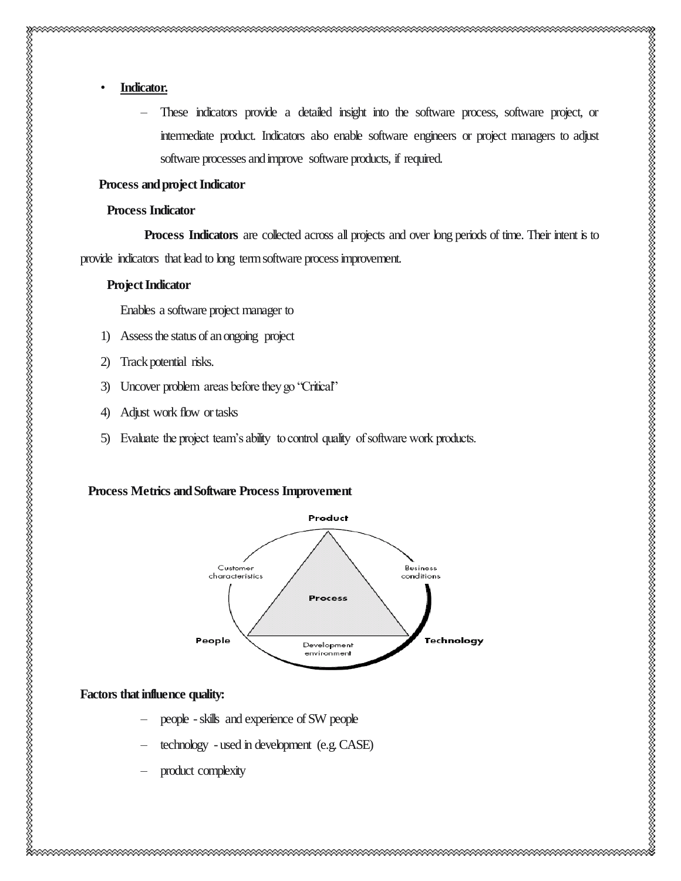# • **Indicator.**

– These indicators provide a detailed insight into the software process, software project, or intermediate product. Indicators also enable software engineers or project managers to adjust software processes and improve software products, if required.

#### **Process and project Indicator**

#### **Process Indicator**

**Process Indicators** are collected across all projects and over long periods of time. Their intent is to provide indicators that lead to long term software process improvement.

#### **Project Indicator**

Enables a software project manager to

- 1) Assess the status of an ongoing project
- 2) Track potential risks.
- 3) Uncover problem areas before they go "Critical"
- 4) Adjust work flow or tasks
- 5) Evaluate the project team's ability to control quality of software work products.

#### **Process Metrics and Software Process Improvement**



#### **Factors that influence quality:**

- people -skills and experience of SW people
- technology used in development (e.g. CASE)
- product complexity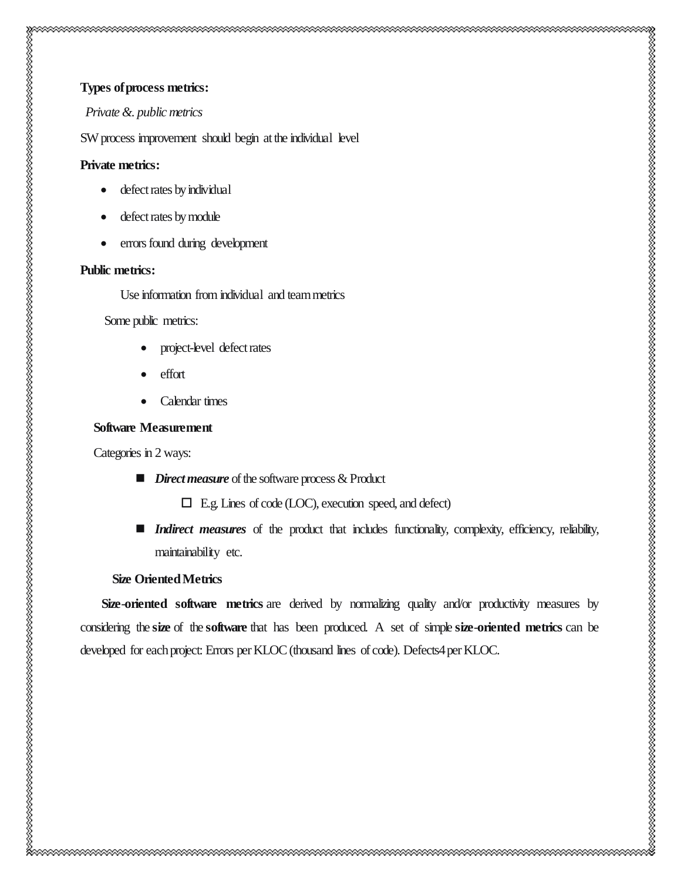#### *Private &. public metrics*

SW process improvement should begin at the individual level

#### **Private metrics:**

- defect rates by individual
- defect rates by module
- errors found during development

#### **Public metrics:**

Use information from individual and team metrics

Some public metrics:

- project-level defect rates
- effort
- Calendar times

#### **Software Measurement**

Categories in 2 ways:

- *Direct measure* of the software process & Product
	- E.g. Lines of code (LOC), execution speed, and defect)
- **Indirect measures** of the product that includes functionality, complexity, efficiency, reliability, maintainability etc.

## **Size Oriented Metrics**

**Size-oriented software metrics** are derived by normalizing quality and/or productivity measures by considering the **size** of the **software** that has been produced. A set of simple **size**-**oriented metrics** can be developed for each project: Errors per KLOC (thousand lines of code). Defects4 per KLOC.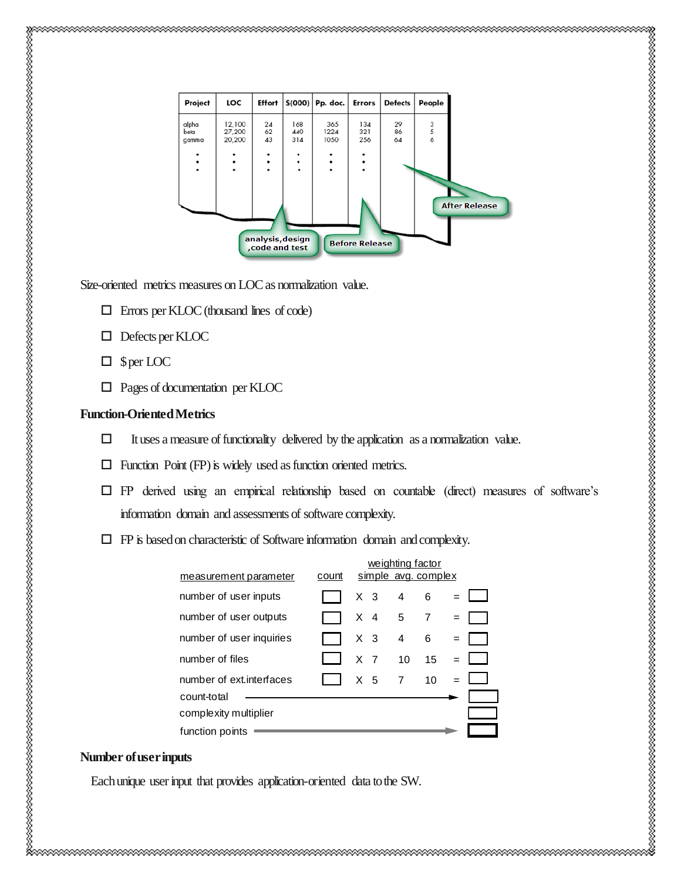| Project         | LOC              | Effort                              |               | $$(000)$ Pp. doc. | Errors                | <b>Defects</b> | People               |
|-----------------|------------------|-------------------------------------|---------------|-------------------|-----------------------|----------------|----------------------|
| alpha<br>beta   | 12,100<br>27,200 | 24<br>62                            | 168<br>440    | 365<br>1224       | 134<br>321            | 29<br>86       | 3<br>5<br>6          |
| gamma<br>٠<br>٠ | 20,200<br>٠      | 43<br>٠<br>٠                        | 314<br>٠<br>٠ | 1050              | 256<br>٠<br>٠         | 64             |                      |
|                 | ٠                | ٠                                   | ٠             |                   | ٠                     |                |                      |
|                 |                  |                                     |               |                   |                       |                | <b>After Release</b> |
|                 |                  | analysis, design<br>, code and test |               |                   | <b>Before Release</b> |                |                      |

Size-oriented metrics measures on LOC as normalization value.

- Errors per KLOC (thousand lines of code)
- Defects per KLOC
- $\Box$  \$ per LOC
- Pages of documentation per KLOC

#### **Function-Oriented Metrics**

- $\Box$  It uses a measure of functionality delivered by the application as a normalization value.
- $\Box$  Function Point (FP) is widely used as function oriented metrics.
- $\Box$  FP derived using an empirical relationship based on countable (direct) measures of software's information domain and assessments of software complexity.
- $\Box$  FP is based on characteristic of Software information domain and complexity.

|                          |       |                |  | weighting factor |                     |  |  |
|--------------------------|-------|----------------|--|------------------|---------------------|--|--|
| measurement parameter    | count |                |  |                  | simple avg. complex |  |  |
| number of user inputs    |       | X <sub>3</sub> |  | $\overline{4}$   | 6                   |  |  |
| number of user outputs   |       | $X \quad 4$    |  | 5                | 7                   |  |  |
| number of user inquiries |       | X <sub>3</sub> |  | 4                | 6                   |  |  |
| number of files          |       | $X$ 7          |  | 10 <sup>1</sup>  | 15                  |  |  |
| number of ext interfaces |       | X <sub>5</sub> |  | 7                | 10                  |  |  |
| count-total              |       |                |  |                  |                     |  |  |
| complexity multiplier    |       |                |  |                  |                     |  |  |
| function points          |       |                |  |                  |                     |  |  |

#### **Number of user inputs**

Each unique user input that provides application-oriented data to the SW.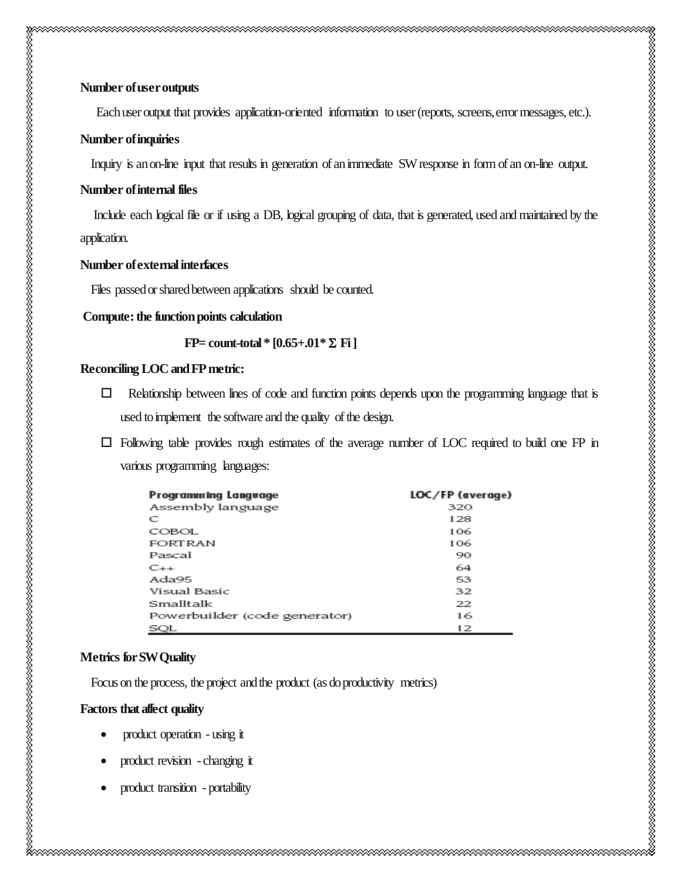Each user output that provides application-oriented information to user (reports, screens, error messages, etc.).

#### **Number of inquiries**

Inquiry is an on-line input that results in generation of an immediate SW response in form of an on-line output.

### **Number of internal files**

 Include each logical file or if using a DB, logical grouping of data, that is generated, used and maintained by the application.

## **Number of external interfaces**

Files passed or shared between applications should be counted.

**Compute: the function points calculation** 

 $FP=$  count-total \*  $[0.65+.01* \Sigma \text{ Fi}]$ 

## **Reconciling LOC and FP metric:**

- $\Box$  Relationship between lines of code and function points depends upon the programming language that is used to implement the software and the quality of the design.
- Following table provides rough estimates of the average number of LOC required to build one FP in various programming languages:

| <b>Programming Langvage</b>   | LOC/FP (average) |  |  |  |
|-------------------------------|------------------|--|--|--|
| Assembly language             | 320              |  |  |  |
| C                             | 128              |  |  |  |
| COBOL.                        | 106              |  |  |  |
| FORTRAN                       | 106              |  |  |  |
| Pascal                        | 90               |  |  |  |
| $C++$                         | 64               |  |  |  |
| Ada95                         | 53               |  |  |  |
| Visual Basic                  | 32               |  |  |  |
| Smalltalk                     | 22               |  |  |  |
| Powerbuilder (code generator) | 16               |  |  |  |
| SQL                           | 12               |  |  |  |

# **Metrics for SW Quality**

**Focus on the process, the project and the product (as do productivity metrics)** 

# **Factors that affect quality**

- product operation using it
- product revision changing it
- product transition portability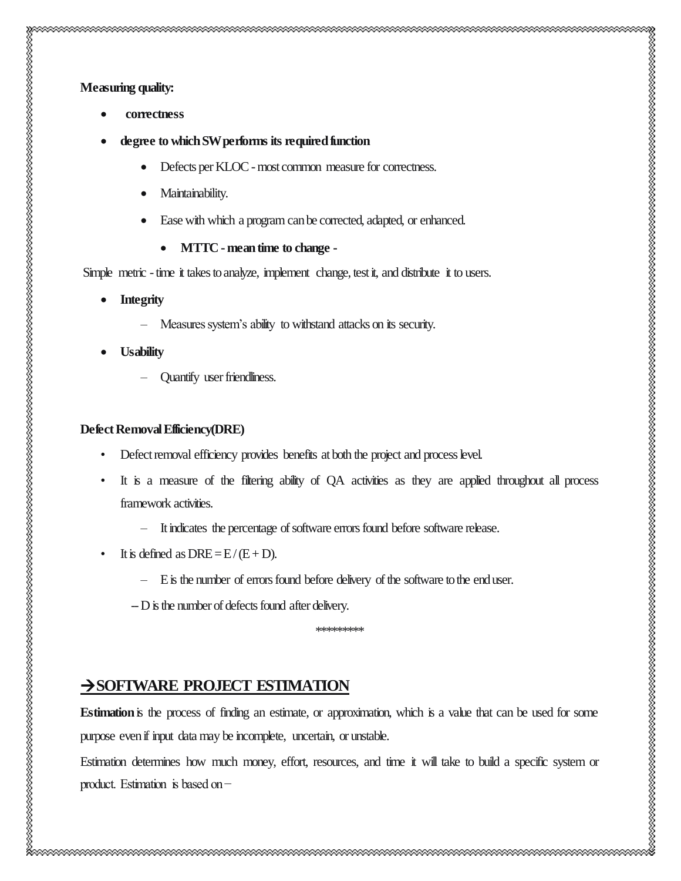- **degree to which SW performs its required function**
	- Defects per KLOC most common measure for correctness.
	- Maintainability.
	- Ease with which a program can be corrected, adapted, or enhanced.
		- **MTTC -mean time to change -**

Simple metric - time it takes to analyze, implement change, test it, and distribute it to users.

- **Integrity**
	- Measures system's ability to withstand attacks on its security.
- **Usability**
	- Quantify user friendliness.

#### **Defect Removal Efficiency(DRE)**

- Defect removal efficiency provides benefits at both the project and process level.
- It is a measure of the filtering ability of QA activities as they are applied throughout all process framework activities.
	- It indicates the percentage of software errors found before software release.
- It is defined as  $DRE = E/(E+D)$ .
	- E is the number of errors found before delivery of the software to the end user.
- --D is the number of defects found after delivery.

\*\*\*\*\*\*\*\*\*

# **SOFTWARE PROJECT ESTIMATION**

**Estimation**is the process of finding an estimate, or approximation, which is a value that can be used for some purpose even if input data may be incomplete, uncertain, or unstable.

Estimation determines how much money, effort, resources, and time it will take to build a specific system or product. Estimation is based on −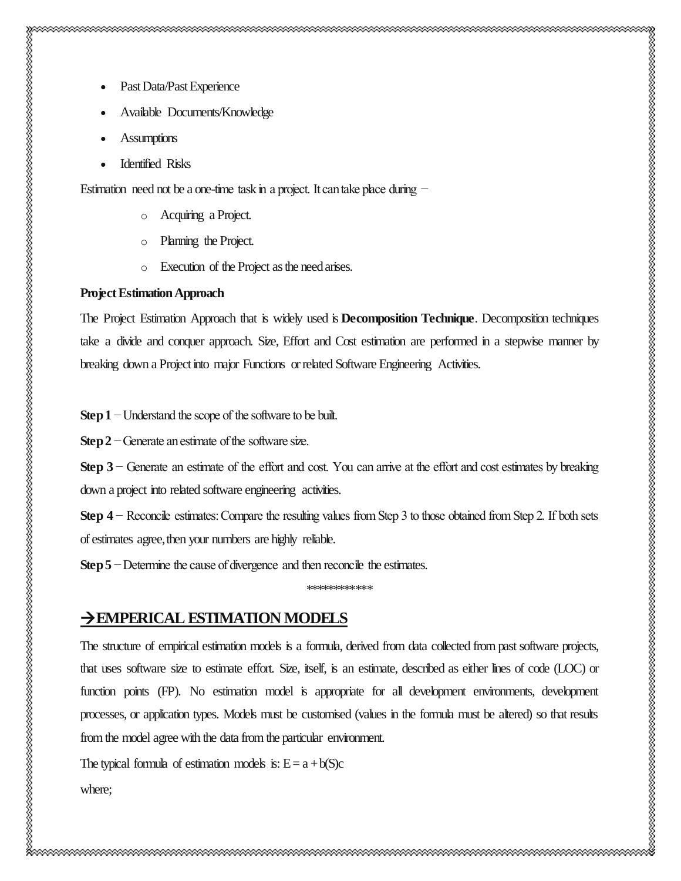Estimation need not be a one-time task in a project. It can take place during −

- o Acquiring a Project.
- o Planning the Project.
- o Execution of the Project as the need arises.

#### **Project Estimation Approach**

The Project Estimation Approach that is widely used is **Decomposition Technique**. Decomposition techniques take a divide and conquer approach. Size, Effort and Cost estimation are performed in a stepwise manner by breaking down a Project into major Functions or related Software Engineering Activities.

**Step 1** − Understand the scope of the software to be built.

**Step 2** − Generate an estimate of the software size.

**Step 3** − Generate an estimate of the effort and cost. You can arrive at the effort and cost estimates by breaking down a project into related software engineering activities.

**Step 4** − Reconcile estimates: Compare the resulting values from Step 3 to those obtained from Step 2. If both sets of estimates agree, then your numbers are highly reliable.

**Step 5** − Determine the cause of divergence and then reconcile the estimates.

\*\*\*\*\*\*\*\*\*\*\*\*

# **EMPERICAL ESTIMATION MODELS**

The structure of empirical estimation models is a formula, derived from data collected from past software projects, that uses software size to estimate effort. Size, itself, is an estimate, described as either lines of code (LOC) or function points (FP). No estimation model is appropriate for all development environments, development processes, or application types. Models must be customised (values in the formula must be altered) so that results from the model agree with the data from the particular environment.

The typical formula of estimation models is:  $E = a + b(S)c$ 

where;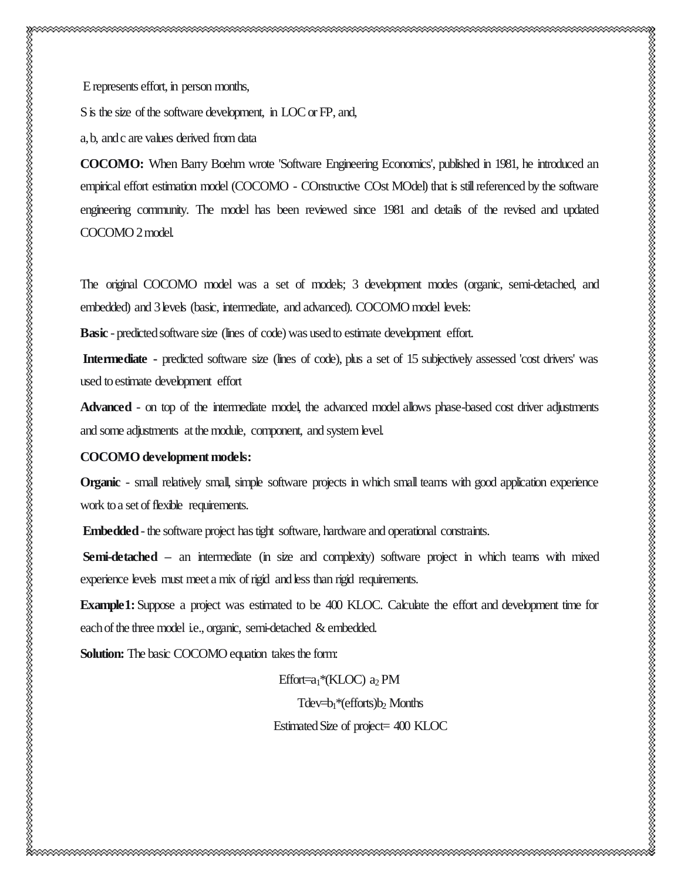E represents effort, in person months,

S is the size of the software development, in LOC or FP, and,

a, b, and c are values derived from data

**COCOMO:** When Barry Boehm wrote 'Software Engineering Economics', published in 1981, he introduced an empirical effort estimation model (COCOMO - COnstructive COst MOdel) that is still referenced by the software engineering community. The model has been reviewed since 1981 and details of the revised and updated COCOMO 2 model.

The original COCOMO model was a set of models; 3 development modes (organic, semi-detached, and embedded) and 3 levels (basic, intermediate, and advanced). COCOMO model levels:

**Basic** - predicted software size (lines of code) was used to estimate development effort.

**Intermediate -** predicted software size (lines of code), plus a set of 15 subjectively assessed 'cost drivers' was used to estimate development effort

**Advanced** - on top of the intermediate model, the advanced model allows phase-based cost driver adjustments and some adjustments at the module, component, and system level.

#### **COCOMO development models:**

**Organic** - small relatively small, simple software projects in which small teams with good application experience work to a set of flexible requirements.

**Embedded**-the software project has tight software, hardware and operational constraints.

Semi-detached – an intermediate (in size and complexity) software project in which teams with mixed experience levels must meet a mix of rigid and less than rigid requirements.

**Example1:**Suppose a project was estimated to be 400 KLOC. Calculate the effort and development time for each of the three model i.e., organic, semi-detached & embedded.

**Solution:** The basic COCOMO equation takes the form:

Effort=a<sub>1</sub>\*(KLOC) a<sub>2</sub> PM

Tdev=b<sub>1</sub>\*(efforts)b<sub>2</sub> Months

Estimated Size of project= 400 KLOC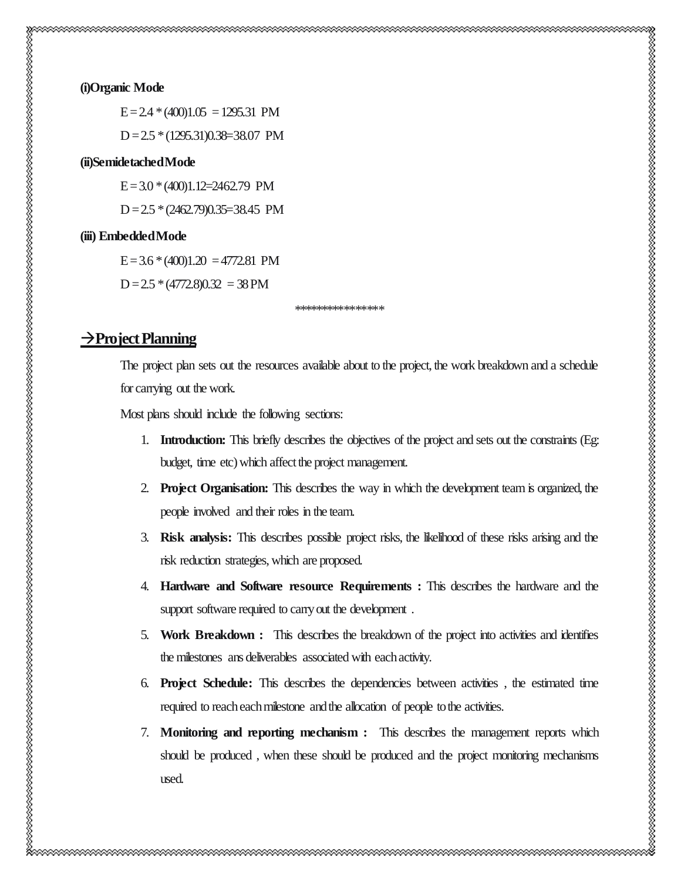#### **(i)Organic Mode**

 $E = 2.4 * (400)1.05 = 1295.31$  PM D = 2.5 \* (1295.31)0.38=38.07 PM

#### **(ii)Semidetached Mode**

 $E = 3.0 * (400)1.12 = 2462.79$  PM

 $D = 2.5 * (2462.79)0.35 = 38.45$  PM

#### **(iii) Embedded Mode**

 $E = 3.6 * (400)1.20 = 4772.81 \text{ PM}$ 

 $D = 2.5 * (4772.8)0.32 = 38 PM$ 

\*\*\*\*\*\*\*\*\*\*\*\*\*\*\*\*

# **Project Planning**

The project plan sets out the resources available about to the project, the work breakdown and a schedule for carrying out the work.

Most plans should include the following sections:

- 1. **Introduction:** This briefly describes the objectives of the project and sets out the constraints (Eg: budget, time etc) which affect the project management.
- 2. **Project Organisation:** This describes the way in which the development team is organized, the people involved and their roles in the team.
- 3. **Risk analysis:** This describes possible project risks, the likelihood of these risks arising and the risk reduction strategies, which are proposed.
- 4. **Hardware and Software resource Requirements :** This describes the hardware and the support software required to carry out the development.
- 5. **Work Breakdown :** This describes the breakdown of the project into activities and identifies the milestones ans deliverables associated with each activity.
- 6. **Project Schedule:** This describes the dependencies between activities , the estimated time required to reach each milestone and the allocation of people to the activities.
- 7. **Monitoring and reporting mechanism :** This describes the management reports which should be produced , when these should be produced and the project monitoring mechanisms used.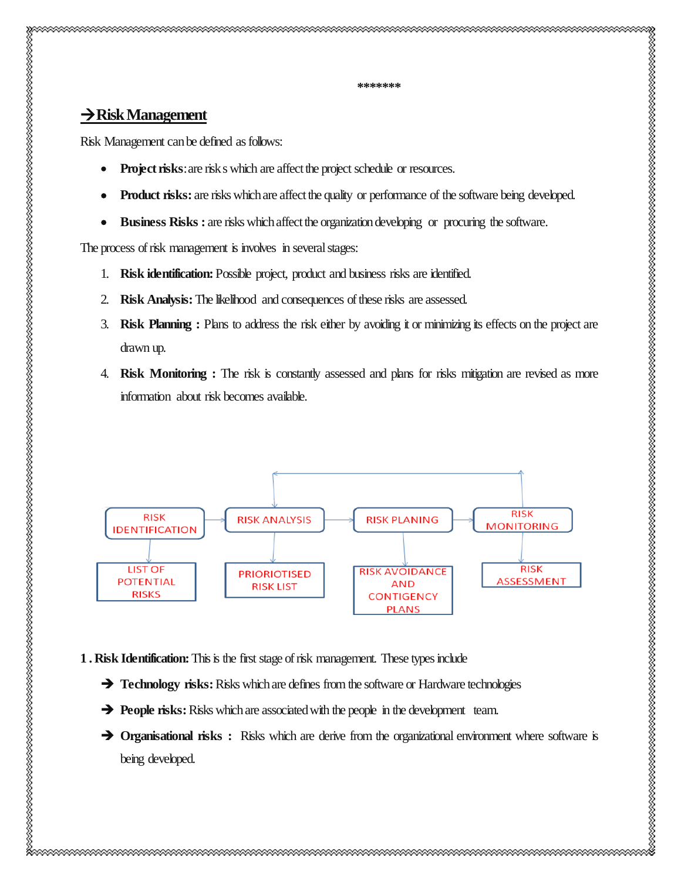# **Risk Management**

Risk Management can be defined as follows:

- **Project risks:** are risk s which are affect the project schedule or resources.
- **Product risks:** are risks which are affect the quality or performance of the software being developed.
- **Business Risks :** are risks which affect the organization developing or procuring the software.

The process of risk management is involves in several stages:

- 1. **Risk identification:** Possible project, product and business risks are identified.
- 2. **Risk Analysis:**The likelihood and consequences of these risks are assessed.
- 3. **Risk Planning :** Plans to address the risk either by avoiding it or minimizing its effects on the project are drawn up.
- 4. **Risk Monitoring :** The risk is constantly assessed and plans for risks mitigation are revised as more information about risk becomes available.



**1 . Risk Identification:** This is the first stage of risk management. These types include

- **Technology risks:** Risks which are defines from the software or Hardware technologies
- **People risks:** Risks which are associated with the people in the development team.
- **The Organisational risks :** Risks which are derive from the organizational environment where software is being developed.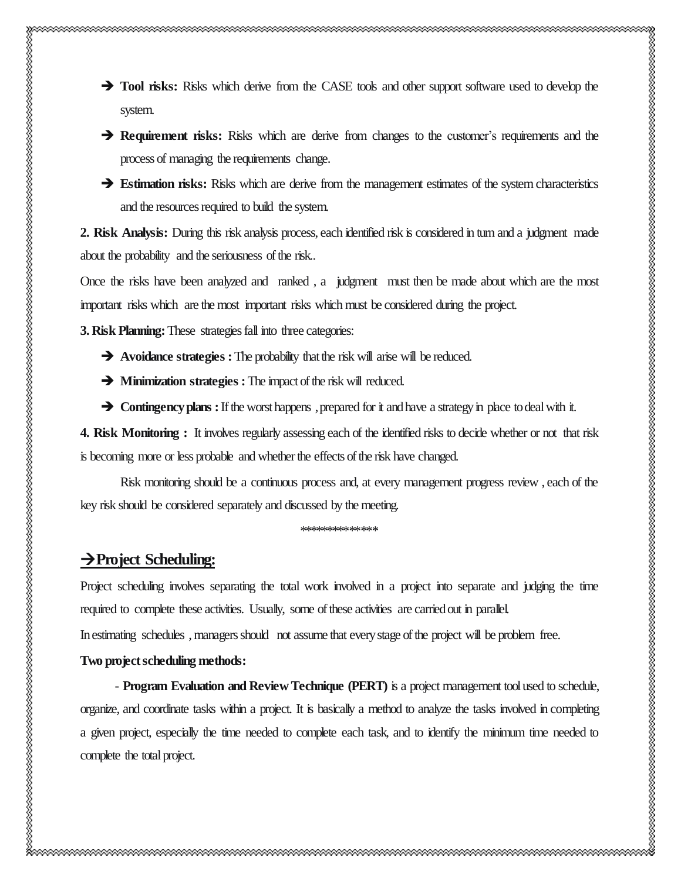**Tool risks:** Risks which derive from the CASE tools and other support software used to develop the system. **Requirement risks:** Risks which are derive from changes to the customer's requirements and the process of managing the requirements change. **Estimation risks:** Risks which are derive from the management estimates of the system characteristics and the resources required to build the system.

**2. Risk Analysis:** During this risk analysis process, each identified risk is considered in turn and a judgment made about the probability and the seriousness of the risk..

Once the risks have been analyzed and ranked , a judgment must then be made about which are the most important risks which are the most important risks which must be considered during the project.

**3. Risk Planning:** These strategies fall into three categories:

**Avoidance strategies :**The probability that the risk will arise will be reduced.

**Minimization strategies :** The impact of the risk will reduced.

**Contingency plans :** If the worst happens, prepared for it and have a strategy in place to deal with it.

**4. Risk Monitoring :** It involves regularly assessing each of the identified risks to decide whether or not that risk is becoming more or less probable and whether the effects of the risk have changed.

Risk monitoring should be a continuous process and, at every management progress review , each of the key risk should be considered separately and discussed by the meeting.

\*\*\*\*\*\*\*\*\*\*\*\*\*\*

# **Project Scheduling:**

Project scheduling involves separating the total work involved in a project into separate and judging the time required to complete these activities. Usually, some of these activities are carried out in parallel.

In estimating schedules , managers should not assume that every stage of the project will be problem free.

### **Two project scheduling methods:**

- **Program Evaluation and Review Technique (PERT)** is a project management tool used to schedule, organize, and coordinate tasks within a project. It is basically a method to analyze the tasks involved in completing a given project, especially the time needed to complete each task, and to identify the minimum time needed to complete the total project.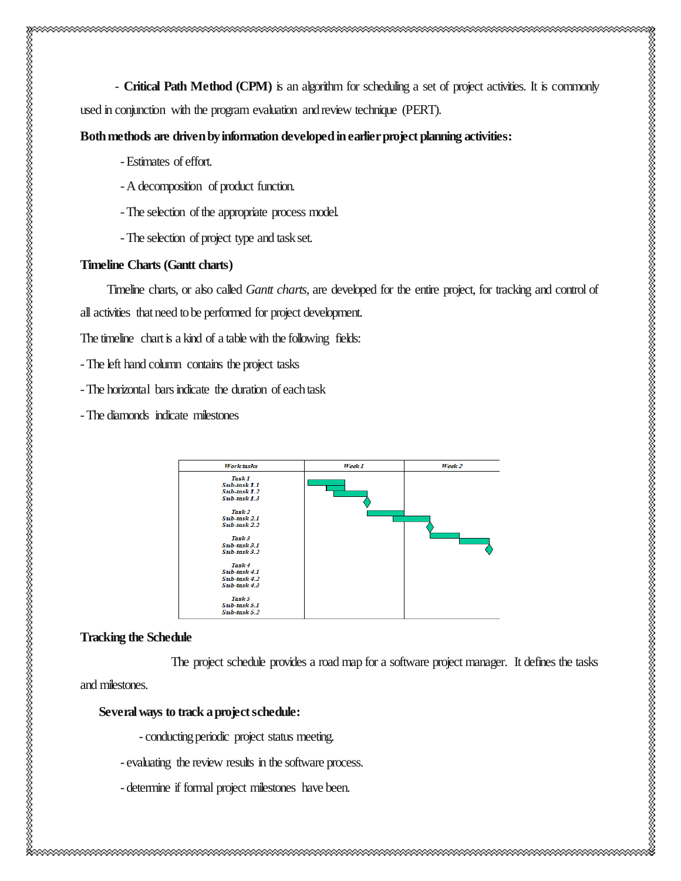- **Critical Path Method (CPM)** is an algorithm for scheduling a set of project activities. It is commonly used in conjunction with the program evaluation and review technique (PERT).

#### **Both methods are driven by information developed in earlier project planning activities:**

- -Estimates of effort.
- -A decomposition of product function.
- -The selection of the appropriate process model.
- -The selection of project type and task set.

#### **Timeline Charts (Gantt charts)**

Timeline charts, or also called *Gantt charts*, are developed for the entire project, for tracking and control of all activities that need to be performed for project development.

The timeline chart is a kind of a table with the following fields:

-The left hand column contains the project tasks

-The horizontal bars indicate the duration of each task

-The diamonds indicate milestones



#### **Tracking the Schedule**

The project schedule provides a road map for a software project manager. It defines the tasks

and milestones.

#### **Several ways to track a project schedule:**

- conducting periodic project status meeting.

- evaluating the review results in the software process.
- determine if formal project milestones have been.